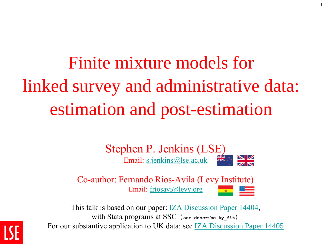Finite mixture models for linked survey and administrative data: estimation and post-estimation

1

Stephen P. Jenkins (LSE)<br>Email: s.jenkins@lse.ac.uk Email: [s.jenkins@lse.ac.uk](mailto:s.jenkins@lse.ac.uk)

Co-author: Fernando Rios-Avila (Levy Institute) Email: [friosavi@levy.org](mailto:friosavi@levy.org)

This talk is based on our paper: <u>IZA Discussion Paper 14404</u>, with Stata programs at SSC (**ssc describe ky\_fit**) For our substantive application to UK data: see [IZA Discussion Paper 14405](http://ftp.iza.org/dp14405.pdf)

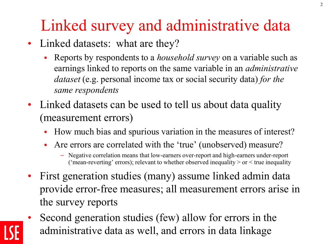# Linked survey and administrative data

- Linked datasets: what are they?
	- Reports by respondents to a *household survey* on a variable such as earnings linked to reports on the same variable in an *administrative dataset* (e.g. personal income tax or social security data) *for the same respondents*
- Linked datasets can be used to tell us about data quality (measurement errors)
	- How much bias and spurious variation in the measures of interest?
	- Are errors are correlated with the 'true' (unobserved) measure?
		- Negative correlation means that low-earners over-report and high-earners under-report ('mean-reverting' errors); relevant to whether observed inequality  $>$  or  $<$  true inequality
- First generation studies (many) assume linked admin data provide error-free measures; all measurement errors arise in the survey reports
- Second generation studies (few) allow for errors in the administrative data as well, and errors in data linkage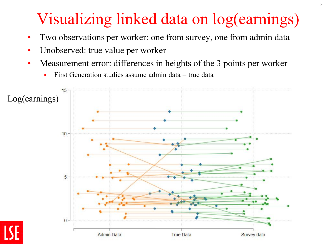## Visualizing linked data on log(earnings)

- Two observations per worker: one from survey, one from admin data
- Unobserved: true value per worker
- Measurement error: differences in heights of the 3 points per worker
	- First Generation studies assume admin data  $=$  true data

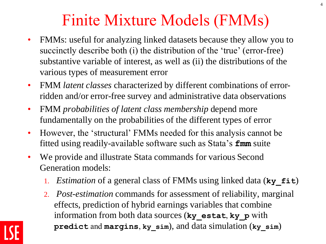#### Finite Mixture Models (FMMs)

4

- FMMs: useful for analyzing linked datasets because they allow you to succinctly describe both (i) the distribution of the 'true' (error-free) substantive variable of interest, as well as (ii) the distributions of the various types of measurement error
- FMM *latent classes* characterized by different combinations of errorridden and/or error-free survey and administrative data observations
- FMM *probabilities of latent class membership* depend more fundamentally on the probabilities of the different types of error
- However, the 'structural' FMMs needed for this analysis cannot be fitted using readily-available software such as Stata's **fmm** suite
- We provide and illustrate Stata commands for various Second Generation models:
	- 1. *Estimation* of a general class of FMMs using linked data (**ky\_fit**)
	- 2. *Post-estimation* commands for assessment of reliability, marginal effects, prediction of hybrid earnings variables that combine information from both data sources (**ky\_estat**, **ky\_p** with **predict** and **margins**, **ky\_sim**), and data simulation (**ky\_sim**)

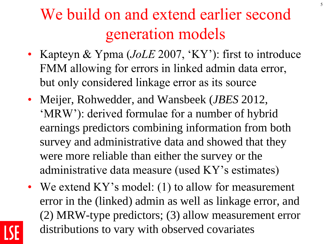## We build on and extend earlier second generation models

- Kapteyn & Ypma (*JoLE* 2007, 'KY'): first to introduce FMM allowing for errors in linked admin data error, but only considered linkage error as its source
- Meijer, Rohwedder, and Wansbeek (*JBES* 2012, 'MRW'): derived formulae for a number of hybrid earnings predictors combining information from both survey and administrative data and showed that they were more reliable than either the survey or the administrative data measure (used KY's estimates)
- We extend KY's model: (1) to allow for measurement error in the (linked) admin as well as linkage error, and (2) MRW-type predictors; (3) allow measurement error distributions to vary with observed covariates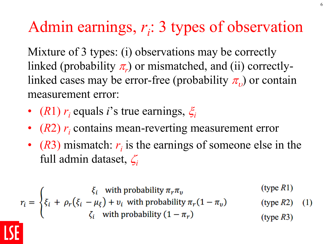# Admin earnings,  $r_i$ : 3 types of observation

Mixture of 3 types: (i) observations may be correctly linked (probability  $\pi_r$ ) or mismatched, and (ii) correctlylinked cases may be error-free (probability  $\pi_{\nu}$ ) or contain measurement error:

- (*R*1)  $r_i$  equals *i*'s true earnings,  $\xi_i$
- (*R2*)  $r_i$  contains mean-reverting measurement error
- $(R3)$  mismatch:  $r_i$  is the earnings of someone else in the full admin dataset,  $\zeta_i$

$$
r_{i} = \begin{cases} \xi_{i} & \text{with probability } \pi_{r}\pi_{v} & (\text{type } R1) \\ \xi_{i} + \rho_{r}(\xi_{i} - \mu_{\xi}) + v_{i} & \text{with probability } \pi_{r}(1 - \pi_{v}) \\ \zeta_{i} & \text{with probability } (1 - \pi_{r}) \end{cases}
$$
 (type R3) (1)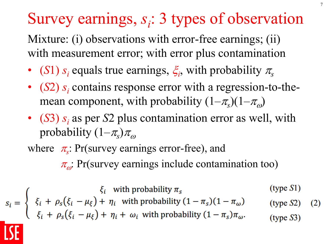# Survey earnings,  $s_i$ : 3 types of observation

Mixture: (i) observations with error-free earnings; (ii) with measurement error; with error plus contamination

- (*S*1) *s*<sub>*i*</sub> equals true earnings,  $\xi$ <sup>*i*</sup>, with probability  $\pi$ <sub>*s*</sub>
- (*S2*) *s*<sub>*i*</sub> contains response error with a regression-to-themean component, with probability  $(1-\pi_s)(1-\pi_\omega)$
- (*S*3) *s<sup>i</sup>* as per *S*2 plus contamination error as well, with probability  $(1-\pi_s)\pi_\omega$

where  $\pi_s$ : Pr(survey earnings error-free), and  $\pi_{\omega}$ : Pr(survey earnings include contamination too)

 $s_i = \begin{cases} \xi_i & \text{with probability } \pi_s \\ \xi_i + \rho_s(\xi_i - \mu_{\xi}) + \eta_i & \text{with probability } (1 - \pi_s)(1 - \pi_{\omega}) \\ \xi_i + \rho_s(\xi_i - \mu_{\xi}) + \eta_i + \omega_i & \text{with probability } (1 - \pi_s)\pi_{\omega}. \end{cases}$  $(type S1)$  $(type S2)$  $(2)$  $(type S3)$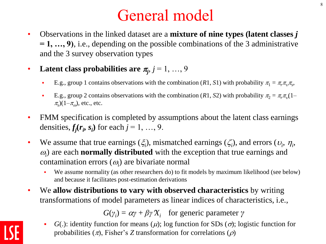#### General model

- Observations in the linked dataset are a **mixture of nine types (latent classes** *j* **= 1, …, 9)**, i.e., depending on the possible combinations of the 3 administrative and the 3 survey observation types
- Latent class probabilities are  $\pi_j$ ,  $j = 1, ..., 9$ 
	- E.g., group 1 contains observations with the combination (*R*1, *S*1) with probability  $\pi_1 = \pi_r \pi_v \pi_s$ ,
	- **•** E.g., group 2 contains observations with the combination (*R*1, *S*2) with probability  $\pi_2 = \pi_r \pi_v (1 \pi$ <sub>s</sub> $(1-\pi$ <sub>ω</sub> $)$ , etc., etc.
- FMM specification is completed by assumptions about the latent class earnings densities,  $f_j(r_i, s_i)$  for each  $j = 1, ..., 9$ .
- We assume that true earnings  $(\xi_i)$ , mismatched earnings  $(\zeta_i)$ , and errors  $(v_i, \eta_i)$ ,  $\omega$ <sub>i</sub>) are each **normally distributed** with the exception that true earnings and contamination errors  $(\omega_i)$  are bivariate normal
	- We assume normality (as other researchers do) to fit models by maximum likelihood (see below) and because it facilitates post-estimation derivations
- We **allow distributions to vary with observed characteristics** by writing transformations of model parameters as linear indices of characteristics, i.e.,

 $G(\gamma_i) = \alpha \gamma + \beta \gamma X_i$  for generic parameter  $\gamma$ 

• *G*(.): identity function for means  $(\mu)$ ; log function for SDs  $(\sigma)$ ; logistic function for probabilities  $(\pi)$ , Fisher's *Z* transformation for correlations  $(\rho)$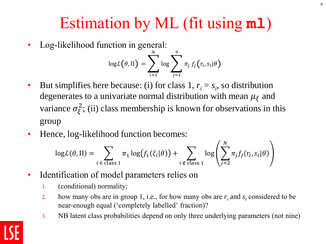#### Estimation by ML (fit using **ml**)

• Log-likelihood function in general:

$$
\log \mathcal{L}(\theta, \Pi) = \sum_{i=1}^{N} \log \sum_{j=1}^{9} \pi_j f_j(r_i, s_i | \theta)
$$

- But simplifies here because: (i) for class 1,  $r_i = s_i$ , so distribution degenerates to a univariate normal distribution with mean  $\mu_{\xi}$  and variance  $\sigma_{\xi}^2$ ; (ii) class membership is known for observations in this group
- Hence, log-likelihood function becomes:

$$
\log \mathcal{L}(\theta, \Pi) = \sum_{i \in \text{class } 1} \pi_1 \log \bigl(f_1(\xi_i | \theta)\bigr) + \sum_{i \notin \text{class } 1} \log \left( \sum_{j=2}^N \pi_j f_j(r_i, s_i | \theta) \right)
$$

- Identification of model parameters relies on
	- 1. (conditional) normality;
	- 2. how many obs are in group 1, i.e., for how many obs are  $r_i$  and  $s_i$  considered to be near-enough equal ('completely labelled' fraction)?
	- 3. NB latent class probabilities depend on only three underlying parameters (not nine)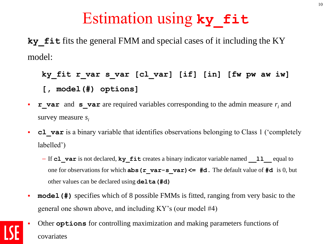#### Estimation using **ky\_fit**

**ky** fits the general FMM and special cases of it including the KY model:

#### **ky\_fit r\_var s\_var [cl\_var] [if] [in] [fw pw aw iw] [, model(#) options]**

- **• r\_var** and **s\_var** are required variables corresponding to the admin measure  $r_i$  and survey measure *s<sup>i</sup>*
- **cl var** is a binary variable that identifies observations belonging to Class 1 ('completely labelled')
	- If **cl\_var** is not declared, **ky\_fit** creates a binary indicator variable named **\_\_ll\_\_** equal to one for observations for which **abs(r\_var-s\_var)<= #d.** The default value of **#d** is 0, but other values can be declared using **delta(#d)**
- **model (#)** specifies which of 8 possible FMMs is fitted, ranging from very basic to the general one shown above, and including KY's (our model #4)
- Other **options** for controlling maximization and making parameters functions of covariates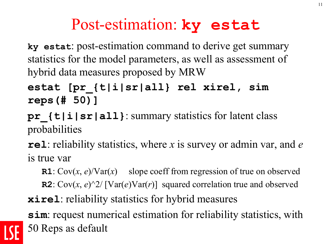#### Post-estimation: **ky estat**

**ky estat**: post-estimation command to derive get summary statistics for the model parameters, as well as assessment of hybrid data measures proposed by MRW

**estat [pr\_{t|i|sr|all} rel xirel, sim reps(# 50)]**

**pr\_{t|i|sr|all}**: summary statistics for latent class probabilities

**rel**: reliability statistics, where *x* is survey or admin var, and *e* is true var

**R1**:  $Cov(x, e)/Var(x)$  slope coeff from regression of true on observed **R2**:  $Cov(x, e)^2 / \left[ Var(e)Var(r) \right]$  squared correlation true and observed **xirel**: reliability statistics for hybrid measures

**sim**: request numerical estimation for reliability statistics, with 50 Reps as default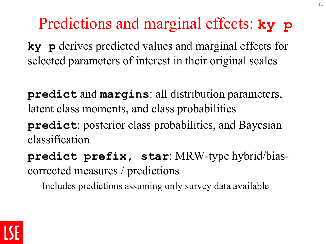#### Predictions and marginal effects: **ky p**

**ky p** derives predicted values and marginal effects for selected parameters of interest in their original scales

**predict** and **margins**: all distribution parameters, latent class moments, and class probabilities

**predict**: posterior class probabilities, and Bayesian classification

**predict prefix, star**: MRW-type hybrid/biascorrected measures / predictions

Includes predictions assuming only survey data available

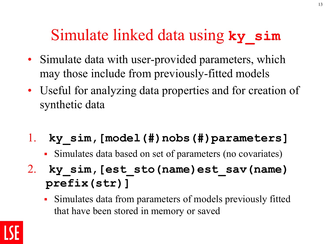#### Simulate linked data using **ky\_sim**

- Simulate data with user-provided parameters, which may those include from previously-fitted models
- Useful for analyzing data properties and for creation of synthetic data
- 1. **ky\_sim,[model(#)nobs(#)parameters]**
	- Simulates data based on set of parameters (no covariates)
- 2. **ky\_sim,[est\_sto(name)est\_sav(name) prefix(str)]**
	- Simulates data from parameters of models previously fitted that have been stored in memory or saved

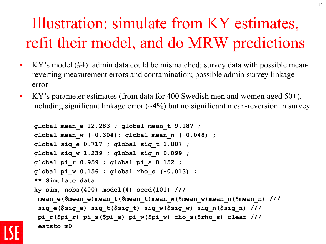# Illustration: simulate from KY estimates, refit their model, and do MRW predictions

14

- KY's model (#4): admin data could be mismatched; survey data with possible meanreverting measurement errors and contamination; possible admin-survey linkage error
- KY's parameter estimates (from data for 400 Swedish men and women aged  $50+$ ), including significant linkage error  $(-4%)$  but no significant mean-reversion in survey

```
global mean_e 12.283 ; global mean_t 9.187 ;
global mean_w (-0.304); global mean_n (-0.048) ;
global sig_e 0.717 ; global sig_t 1.807 ;
global sig_w 1.239 ; global sig_n 0.099 ;
global pi_r 0.959 ; global pi_s 0.152 ;
global pi_w 0.156 ; global rho_s (-0.013) ;
** Simulate data 
ky_sim, nobs(400) model(4) seed(101) ///
 mean_e($mean_e)mean_t($mean_t)mean_w($mean_w)mean_n($mean_n) ///
 sig_e($sig_e) sig_t($sig_t) sig_w($sig_w) sig_n($sig_n) ///
 pi_r($pi_r) pi_s($pi_s) pi_w($pi_w) rho_s($rho_s) clear ///
 eststo m0
```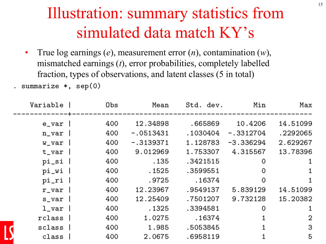## Illustration: summary statistics from simulated data match KY's

• True log earnings (*e*), measurement error (*n*), contamination (*w*), mismatched earnings (*t*), error probabilities, completely labelled fraction, types of observations, and latent classes (5 in total)

. summarize  $*,$  sep $(0)$ 

| Max      | Min         | Std. dev. | Mean        | Obs | Variable     |
|----------|-------------|-----------|-------------|-----|--------------|
| 14.51099 | 10.4206     | .665869   | 12.34898    | 400 | e_var        |
| .2292065 | $-.3312704$ | .1030404  | $-.0513431$ | 400 | $n_{var}$    |
| 2.629267 | $-3.336294$ | 1.128783  | $-.3139371$ | 400 | w_var        |
| 13.78396 | 4.315567    | 1.753307  | 9.012969    | 400 | $t_var$      |
| 1        | 0           | .3421515  | .135        | 400 | pi_si        |
| 1        | 0           | .3599551  | .1525       | 400 | pi_wi        |
| 1        | 0           | .16374    | .9725       | 400 | pi_ri        |
| 14.51099 | 5.839129    | .9549137  | 12.23967    | 400 | $r_{var}$    |
| 15.20382 | 9.732128    | .7501207  | 12.25409    | 400 | s_var        |
| 1        | 0           | .3394581  | . 1325      | 400 | $1$ _var $ $ |
| 2        |             | .16374    | 1.0275      | 400 | rclass       |
| 3        |             | .5053845  | 1.985       | 400 | sclass       |
| 5        |             | .6958119  | 2.0675      | 400 | class        |
|          |             |           |             |     |              |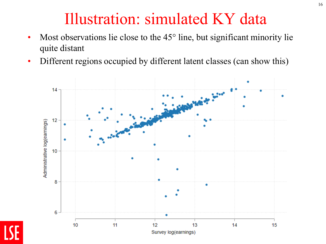#### Illustration: simulated KY data

- Most observations lie close to the  $45^\circ$  line, but significant minority lie quite distant
- Different regions occupied by different latent classes (can show this)

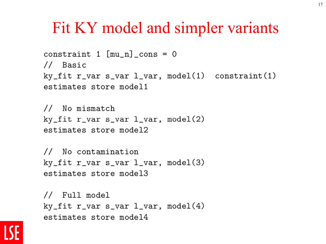#### Fit KY model and simpler variants

```
constraint 1 \lceil \text{mu n} \rceil cons = 0
// Basic
ky_fit r_var s_var l_var, model(1) constraint(1)
estimates store model1
```
// No mismatch  $ky_f$ it r\_var s\_var l\_var, model(2) estimates store model2

```
// No contamination
ky_fit r_var s_var l_var, model(3)
estimates store model3
```

```
// Full model
ky_fit r_var s_var l_var, model(4)
estimates store model4
```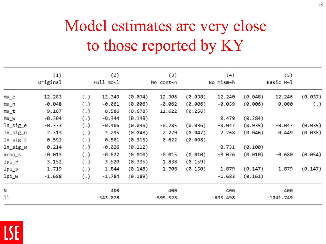# Model estimates are very close to those reported by KY

|          | (1)<br>Original |     | (2)<br>Full mo~l |         | (3)<br>No cont~n |         | (4)<br>No mism~h |         | (5)<br>Basic M~l |         |
|----------|-----------------|-----|------------------|---------|------------------|---------|------------------|---------|------------------|---------|
|          |                 |     |                  |         |                  |         |                  |         |                  |         |
| $mu_e$   | 12.283          | (.) | 12.349           | (0.034) | 12.306           | (0.038) | 12.240           | (0.048) | 12.246           | (0.037) |
| mu_n     | $-0.048$        | (.) | $-0.061$         | (0.006) | $-0.062$         | (0.006) | $-0.059$         | (0.006) | 0.000            | (.)     |
| mu_t     | 9.187           | (.) | 8.586            | (0.678) | 11.622           | (0.256) |                  |         |                  |         |
| mu_w     | $-0.304$        | (.) | $-0.344$         | (0.148) |                  |         | 0.479            | (0.284) |                  |         |
| ln_sig_e | $-0.333$        | (.) | $-0.406$         | (0.036) | $-0.285$         | (0.036) | $-0.047$         | (0.035) | $-0.047$         | (0.035) |
| ln_sig_n | $-2.313$        | (.) | $-2.295$         | (0.048) | $-2.270$         | (0.047) | $-2.268$         | (0.046) | $-0.449$         | (0.038) |
| ln_sig_t | 0.592           | (.) | 0.501            | (0.315) | 0.622            | (0.098) |                  |         |                  |         |
| ln_sig_w | 0.214           | (.) | $-0.026$         | (0.112) |                  |         | 0.731            | (0.100) |                  |         |
| arho_s   | $-0.013$        | (.) | $-0.022$         | (0.010) | $-0.015$         | (0.010) | $-0.026$         | (0.010) | $-0.680$         | (0.054) |
| lpi_r    | 3.152           | (.) | 3.520            | (0.335) | 1.838            | (0.159) |                  |         |                  |         |
| lpi_s    | $-1.719$        | (.) | $-1.844$         | (0.148) | $-1.708$         | (0.150) | $-1.879$         | (0.147) | $-1.879$         | (0.147) |
| lpi_w    | $-1.688$        | (.) | $-1.784$         | (0.189) |                  |         | $-1.683$         | (0.161) |                  |         |
| Ν        |                 |     | 400              |         | 400              |         | 400              |         | 400              |         |
| 11       |                 |     | $-543.028$       |         | $-595.528$       |         | $-695.498$       |         | $-1041.749$      |         |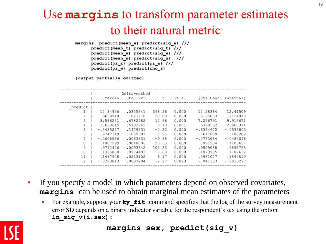#### Use **margins** to transform parameter estimates to their natural metric

margins, predict(mean e) predict(sig e) /// predict(mean t) predict(sig t) /// predict(mean w) predict(sig w) /// predict(mean n) predict(sig n) /// predict(pi r) predict(pi s) /// predict(pi w) predict(rho s)

[output partially omitted]

|         |             | Delta-method |         |        |              |                      |
|---------|-------------|--------------|---------|--------|--------------|----------------------|
|         | Marqin      | Std. Err.    | Ζ       | P >  z |              | [95% Conf. Interval] |
|         |             |              |         |        |              |                      |
| predict |             |              |         |        |              |                      |
|         | 12.34936    | .0335341     | 368.26  | 0.000  | 12.28364     | 12,41509             |
| 2       | .6659948    | .023718      | 28.08   | 0.000  | .6195083     | .7124813             |
| 3       | 8.586231    | .6782982     | 12.66   | 0.000  | 7.256791     | 9.915671             |
| 4       | 1.650615    | .5192742     | 3.18    | 0.001  | .6328562     | 2.668374             |
| 5       | $-.3435237$ | .1479331     | $-2.32$ | 0.020  | $-0.6334672$ | $-.0535803$          |
| 6       | .9747349    | .1089581     | 8.95    | 0.000  | .7611809     | 1.188289             |
| 7       | $-.0608566$ | .0063531     | $-9.58$ | 0.000  | $-.0733084$  | $-.0484048$          |
| 8       | .1007999    | .0048806     | 20.65   | 0.000  | .091234      | .1103657             |
| 9       | .9712426    | .0093542     | 103.83  | 0.000  | .9529088     | .9895765             |
| 10      | .1365808    | .0174403     | 7.83    | 0.000  | .1023985     | .1707632             |
| 11      | .1437948    | .0233102     | 6.17    | 0.000  | .0981077     | .1894819             |
| 12      | $-.0220813$ | .0097204     | $-2.27$ | 0.023  | $-.041133$   | $-.0030297$          |
|         |             |              |         |        |              |                      |

- If you specify a model in which parameters depend on observed covariates, **margins** can be used to obtain marginal mean estimates of the parameters
	- For example, suppose your **ky\_fit** command specifies that the log of the survey measurement error SD depends on a binary indicator variable for the respondent's sex using the option **ln\_sig\_v(i.sex):**

#### **margins sex, predict(sig\_v)**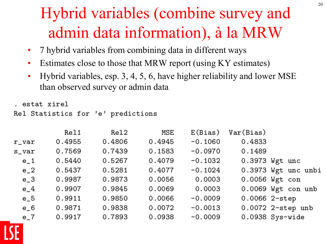## Hybrid variables (combine survey and admin data information), à la MRW

- 7 hybrid variables from combining data in different ways
- Estimates close to those that MRW report (using KY estimates)
- Hybrid variables, esp. 3, 4, 5, 6, have higher reliability and lower MSE than observed survey or admin data

```
. estat xirel
Rel Statistics for 'e' predictions
```

|           | Rel1   | Rel2   | MSE    | E(Bias)   | Var(Bias)       |                     |
|-----------|--------|--------|--------|-----------|-----------------|---------------------|
| $r_{var}$ | 0.4955 | 0.4806 | 0.4945 | $-0.1060$ | 0.4833          |                     |
| s_var     | 0.7569 | 0.7439 | 0.1583 | $-0.0970$ | 0.1489          |                     |
| $e_{-}1$  | 0.5440 | 0.5267 | 0.4079 | $-0.1032$ |                 | 0.3973 Wgt unc      |
| $e_2$     | 0.5437 | 0.5281 | 0.4077 | $-0.1024$ |                 | 0.3973 Wgt unc unbi |
| $e_3$     | 0.9987 | 0.9873 | 0.0056 | 0.0003    |                 | 0.0056 Wgt con      |
| $e_{-}4$  | 0.9907 | 0.9845 | 0.0069 | 0.0003    |                 | 0.0069 Wgt con unb  |
| $e_{-}5$  | 0.9911 | 0.9850 | 0.0066 | $-0.0009$ | $0.0066$ 2-step |                     |
| $e_{-}6$  | 0.9871 | 0.9838 | 0.0072 | $-0.0013$ |                 | 0.0072 2-step unb   |
| $e-7$     | 0.9917 | 0.7893 | 0.0938 | $-0.0009$ |                 | $0.0938$ Sys-wide   |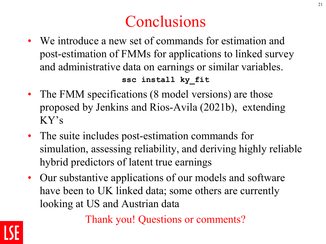#### **Conclusions**

• We introduce a new set of commands for estimation and post-estimation of FMMs for applications to linked survey and administrative data on earnings or similar variables.

**ssc install ky\_fit**

- The FMM specifications (8 model versions) are those proposed by Jenkins and Rios-Avila (2021b), extending KY's
- The suite includes post-estimation commands for simulation, assessing reliability, and deriving highly reliable hybrid predictors of latent true earnings
- Our substantive applications of our models and software have been to UK linked data; some others are currently looking at US and Austrian data

Thank you! Questions or comments?